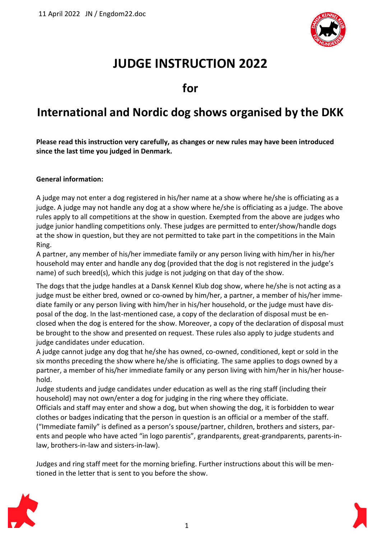

# **JUDGE INSTRUCTION 2022**

**for** 

## **International and Nordic dog shows organised by the DKK**

**Please read this instruction very carefully, as changes or new rules may have been introduced since the last time you judged in Denmark.**

## **General information:**

A judge may not enter a dog registered in his/her name at a show where he/she is officiating as a judge. A judge may not handle any dog at a show where he/she is officiating as a judge. The above rules apply to all competitions at the show in question. Exempted from the above are judges who judge junior handling competitions only. These judges are permitted to enter/show/handle dogs at the show in question, but they are not permitted to take part in the competitions in the Main Ring.

A partner, any member of his/her immediate family or any person living with him/her in his/her household may enter and handle any dog (provided that the dog is not registered in the judge's name) of such breed(s), which this judge is not judging on that day of the show.

The dogs that the judge handles at a Dansk Kennel Klub dog show, where he/she is not acting as a judge must be either bred, owned or co-owned by him/her, a partner, a member of his/her immediate family or any person living with him/her in his/her household, or the judge must have disposal of the dog. In the last-mentioned case, a copy of the declaration of disposal must be enclosed when the dog is entered for the show. Moreover, a copy of the declaration of disposal must be brought to the show and presented on request. These rules also apply to judge students and judge candidates under education.

A judge cannot judge any dog that he/she has owned, co-owned, conditioned, kept or sold in the six months preceding the show where he/she is officiating. The same applies to dogs owned by a partner, a member of his/her immediate family or any person living with him/her in his/her household.

Judge students and judge candidates under education as well as the ring staff (including their household) may not own/enter a dog for judging in the ring where they officiate.

Officials and staff may enter and show a dog, but when showing the dog, it is forbidden to wear clothes or badges indicating that the person in question is an official or a member of the staff. ("Immediate family" is defined as a person's spouse/partner, children, brothers and sisters, parents and people who have acted "in logo parentis", grandparents, great-grandparents, parents-inlaw, brothers-in-law and sisters-in-law).

Judges and ring staff meet for the morning briefing. Further instructions about this will be mentioned in the letter that is sent to you before the show.

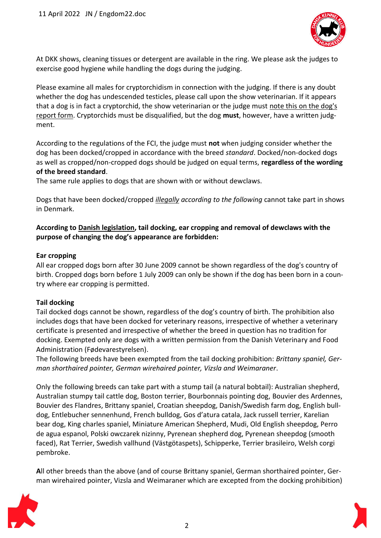

At DKK shows, cleaning tissues or detergent are available in the ring. We please ask the judges to exercise good hygiene while handling the dogs during the judging.

Please examine all males for cryptorchidism in connection with the judging. If there is any doubt whether the dog has undescended testicles, please call upon the show veterinarian. If it appears that a dog is in fact a cryptorchid, the show veterinarian or the judge must note this on the dog's report form. Cryptorchids must be disqualified, but the dog **must**, however, have a written judgment.

According to the regulations of the FCI, the judge must **not** when judging consider whether the dog has been docked/cropped in accordance with the breed *standard*. Docked/non-docked dogs as well as cropped/non-cropped dogs should be judged on equal terms, **regardless of the wording of the breed standard**.

The same rule applies to dogs that are shown with or without dewclaws.

Dogs that have been docked/cropped *illegally according to the following* cannot take part in shows in Denmark.

## **According to Danish legislation, tail docking, ear cropping and removal of dewclaws with the purpose of changing the dog's appearance are forbidden:**

### **Ear cropping**

All ear cropped dogs born after 30 June 2009 cannot be shown regardless of the dog's country of birth. Cropped dogs born before 1 July 2009 can only be shown if the dog has been born in a country where ear cropping is permitted.

## **Tail docking**

Tail docked dogs cannot be shown, regardless of the dog's country of birth. The prohibition also includes dogs that have been docked for veterinary reasons, irrespective of whether a veterinary certificate is presented and irrespective of whether the breed in question has no tradition for docking. Exempted only are dogs with a written permission from the Danish Veterinary and Food Administration (Fødevarestyrelsen).

The following breeds have been exempted from the tail docking prohibition: *Brittany spaniel, German shorthaired pointer, German wirehaired pointer, Vizsla and Weimaraner*.

Only the following breeds can take part with a stump tail (a natural bobtail): Australian shepherd, Australian stumpy tail cattle dog, Boston terrier, Bourbonnais pointing dog, Bouvier des Ardennes, Bouvier des Flandres, Brittany spaniel, Croatian sheepdog, Danish/Swedish farm dog, English bulldog, Entlebucher sennenhund, French bulldog, Gos d'atura catala, Jack russell terrier, Karelian bear dog, King charles spaniel, Miniature American Shepherd, Mudi, Old English sheepdog, Perro de agua espanol, Polski owczarek nizinny, Pyrenean shepherd dog, Pyrenean sheepdog (smooth faced), Rat Terrier, Swedish vallhund (Västgötaspets), Schipperke, Terrier brasileiro, Welsh corgi pembroke.

**A**ll other breeds than the above (and of course Brittany spaniel, German shorthaired pointer, German wirehaired pointer, Vizsla and Weimaraner which are excepted from the docking prohibition)

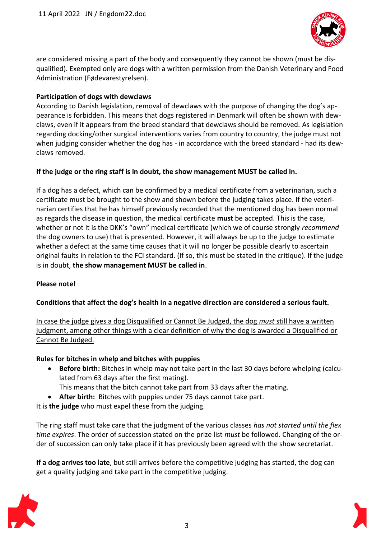

are considered missing a part of the body and consequently they cannot be shown (must be disqualified). Exempted only are dogs with a written permission from the Danish Veterinary and Food Administration (Fødevarestyrelsen).

## **Participation of dogs with dewclaws**

According to Danish legislation, removal of dewclaws with the purpose of changing the dog's appearance is forbidden. This means that dogs registered in Denmark will often be shown with dewclaws, even if it appears from the breed standard that dewclaws should be removed. As legislation regarding docking/other surgical interventions varies from country to country, the judge must not when judging consider whether the dog has - in accordance with the breed standard - had its dewclaws removed.

## **If the judge or the ring staff is in doubt, the show management MUST be called in.**

If a dog has a defect, which can be confirmed by a medical certificate from a veterinarian, such a certificate must be brought to the show and shown before the judging takes place. If the veterinarian certifies that he has himself previously recorded that the mentioned dog has been normal as regards the disease in question, the medical certificate **must** be accepted. This is the case, whether or not it is the DKK's "own" medical certificate (which we of course strongly *recommend* the dog owners to use) that is presented. However, it will always be up to the judge to estimate whether a defect at the same time causes that it will no longer be possible clearly to ascertain original faults in relation to the FCI standard. (If so, this must be stated in the critique). If the judge is in doubt, **the show management MUST be called in**.

## **Please note!**

## **Conditions that affect the dog's health in a negative direction are considered a serious fault.**

In case the judge gives a dog Disqualified or Cannot Be Judged, the dog *must* still have a written judgment, among other things with a clear definition of why the dog is awarded a Disqualified or Cannot Be Judged.

## **Rules for bitches in whelp and bitches with puppies**

- **Before birth:** Bitches in whelp may not take part in the last 30 days before whelping (calculated from 63 days after the first mating).
	- This means that the bitch cannot take part from 33 days after the mating.
- **After birth:** Bitches with puppies under 75 days cannot take part.

It is **the judge** who must expel these from the judging.

The ring staff must take care that the judgment of the various classes *has not started until the flex time expires*. The order of succession stated on the prize list *must* be followed. Changing of the order of succession can only take place if it has previously been agreed with the show secretariat.

**If a dog arrives too late**, but still arrives before the competitive judging has started, the dog can get a quality judging and take part in the competitive judging.

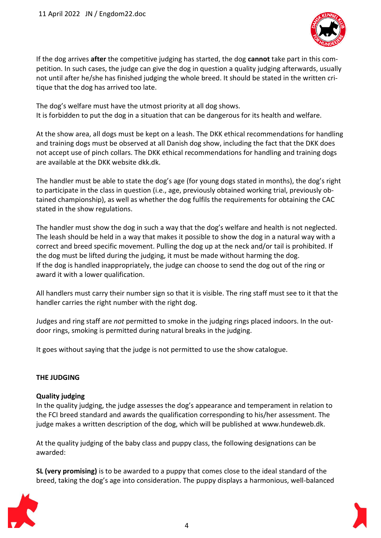

If the dog arrives **after** the competitive judging has started, the dog **cannot** take part in this competition. In such cases, the judge can give the dog in question a quality judging afterwards, usually not until after he/she has finished judging the whole breed. It should be stated in the written critique that the dog has arrived too late.

The dog's welfare must have the utmost priority at all dog shows. It is forbidden to put the dog in a situation that can be dangerous for its health and welfare.

At the show area, all dogs must be kept on a leash. The DKK ethical recommendations for handling and training dogs must be observed at all Danish dog show, including the fact that the DKK does not accept use of pinch collars. The DKK ethical recommendations for handling and training dogs are available at the DKK website dkk.dk.

The handler must be able to state the dog's age (for young dogs stated in months), the dog's right to participate in the class in question (i.e., age, previously obtained working trial, previously obtained championship), as well as whether the dog fulfils the requirements for obtaining the CAC stated in the show regulations.

The handler must show the dog in such a way that the dog's welfare and health is not neglected. The leash should be held in a way that makes it possible to show the dog in a natural way with a correct and breed specific movement. Pulling the dog up at the neck and/or tail is prohibited. If the dog must be lifted during the judging, it must be made without harming the dog. If the dog is handled inappropriately, the judge can choose to send the dog out of the ring or award it with a lower qualification.

All handlers must carry their number sign so that it is visible. The ring staff must see to it that the handler carries the right number with the right dog.

Judges and ring staff are *not* permitted to smoke in the judging rings placed indoors. In the outdoor rings, smoking is permitted during natural breaks in the judging.

It goes without saying that the judge is not permitted to use the show catalogue.

## **THE JUDGING**

#### **Quality judging**

In the quality judging, the judge assesses the dog's appearance and temperament in relation to the FCI breed standard and awards the qualification corresponding to his/her assessment. The judge makes a written description of the dog, which will be published at www.hundeweb.dk.

At the quality judging of the baby class and puppy class, the following designations can be awarded:

**SL (very promising)** is to be awarded to a puppy that comes close to the ideal standard of the breed, taking the dog's age into consideration. The puppy displays a harmonious, well-balanced

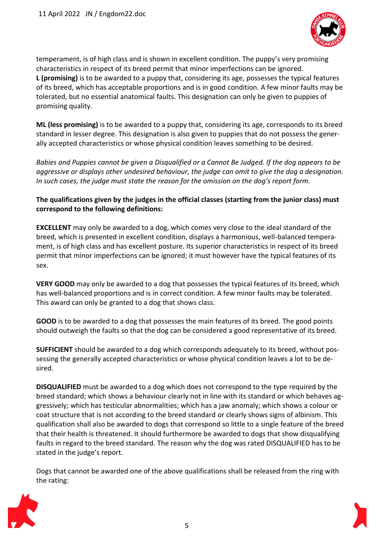

temperament, is of high class and is shown in excellent condition. The puppy's very promising characteristics in respect of its breed permit that minor imperfections can be ignored. **L (promising)** is to be awarded to a puppy that, considering its age, possesses the typical features of its breed, which has acceptable proportions and is in good condition. A few minor faults may be tolerated, but no essential anatomical faults. This designation can only be given to puppies of promising quality.

**ML (less promising)** is to be awarded to a puppy that, considering its age, corresponds to its breed standard in lesser degree. This designation is also given to puppies that do not possess the generally accepted characteristics or whose physical condition leaves something to be desired.

*Babies and Puppies cannot be given a Disqualified or a Cannot Be Judged. If the dog appears to be aggressive or displays other undesired behaviour, the judge can omit to give the dog a designation. In such cases, the judge must state the reason for the omission on the dog's report form.*

## **The qualifications given by the judges in the official classes (starting from the junior class) must correspond to the following definitions:**

**EXCELLENT** may only be awarded to a dog, which comes very close to the ideal standard of the breed, which is presented in excellent condition, displays a harmonious, well-balanced temperament, is of high class and has excellent posture. Its superior characteristics in respect of its breed permit that minor imperfections can be ignored; it must however have the typical features of its sex.

**VERY GOOD** may only be awarded to a dog that possesses the typical features of its breed, which has well-balanced proportions and is in correct condition. A few minor faults may be tolerated. This award can only be granted to a dog that shows class.

**GOOD** is to be awarded to a dog that possesses the main features of its breed. The good points should outweigh the faults so that the dog can be considered a good representative of its breed.

**SUFFICIENT** should be awarded to a dog which corresponds adequately to its breed, without possessing the generally accepted characteristics or whose physical condition leaves a lot to be desired.

**DISQUALIFIED** must be awarded to a dog which does not correspond to the type required by the breed standard; which shows a behaviour clearly not in line with its standard or which behaves aggressively; which has testicular abnormalities; which has a jaw anomaly; which shows a colour or coat structure that is not according to the breed standard or clearly shows signs of albinism. This qualification shall also be awarded to dogs that correspond so little to a single feature of the breed that their health is threatened. It should furthermore be awarded to dogs that show disqualifying faults in regard to the breed standard. The reason why the dog was rated DISQUALIFIED has to be stated in the judge's report.

Dogs that cannot be awarded one of the above qualifications shall be released from the ring with the rating:



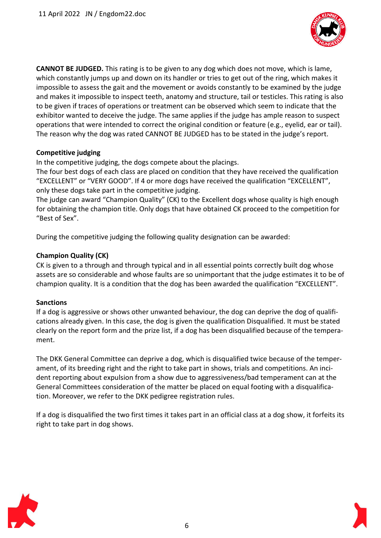

**CANNOT BE JUDGED.** This rating is to be given to any dog which does not move, which is lame, which constantly jumps up and down on its handler or tries to get out of the ring, which makes it impossible to assess the gait and the movement or avoids constantly to be examined by the judge and makes it impossible to inspect teeth, anatomy and structure, tail or testicles. This rating is also to be given if traces of operations or treatment can be observed which seem to indicate that the exhibitor wanted to deceive the judge. The same applies if the judge has ample reason to suspect operations that were intended to correct the original condition or feature (e.g., eyelid, ear or tail). The reason why the dog was rated CANNOT BE JUDGED has to be stated in the judge's report.

## **Competitive judging**

In the competitive judging, the dogs compete about the placings.

The four best dogs of each class are placed on condition that they have received the qualification "EXCELLENT" or "VERY GOOD". If 4 or more dogs have received the qualification "EXCELLENT", only these dogs take part in the competitive judging.

The judge can award "Champion Quality" (CK) to the Excellent dogs whose quality is high enough for obtaining the champion title. Only dogs that have obtained CK proceed to the competition for "Best of Sex".

During the competitive judging the following quality designation can be awarded:

### **Champion Quality (CK)**

CK is given to a through and through typical and in all essential points correctly built dog whose assets are so considerable and whose faults are so unimportant that the judge estimates it to be of champion quality. It is a condition that the dog has been awarded the qualification "EXCELLENT".

#### **Sanctions**

If a dog is aggressive or shows other unwanted behaviour, the dog can deprive the dog of qualifications already given. In this case, the dog is given the qualification Disqualified. It must be stated clearly on the report form and the prize list, if a dog has been disqualified because of the temperament.

The DKK General Committee can deprive a dog, which is disqualified twice because of the temperament, of its breeding right and the right to take part in shows, trials and competitions. An incident reporting about expulsion from a show due to aggressiveness/bad temperament can at the General Committees consideration of the matter be placed on equal footing with a disqualification. Moreover, we refer to the DKK pedigree registration rules.

If a dog is disqualified the two first times it takes part in an official class at a dog show, it forfeits its right to take part in dog shows.

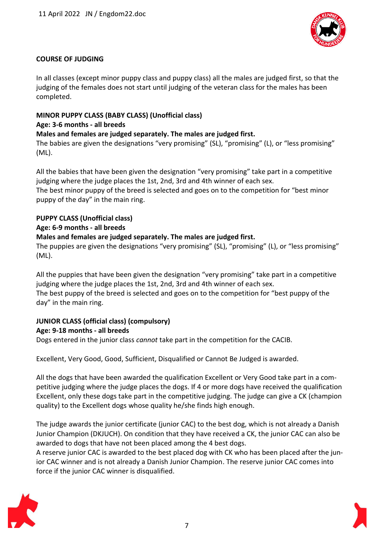

## **COURSE OF JUDGING**

In all classes (except minor puppy class and puppy class) all the males are judged first, so that the judging of the females does not start until judging of the veteran class for the males has been completed.

## **MINOR PUPPY CLASS (BABY CLASS) (Unofficial class)**

## **Age: 3-6 months - all breeds**

**Males and females are judged separately. The males are judged first.**

The babies are given the designations "very promising" (SL), "promising" (L), or "less promising" (ML).

All the babies that have been given the designation "very promising" take part in a competitive judging where the judge places the 1st, 2nd, 3rd and 4th winner of each sex.

The best minor puppy of the breed is selected and goes on to the competition for "best minor puppy of the day" in the main ring.

## **PUPPY CLASS (Unofficial class)**

## **Age: 6-9 months - all breeds**

## **Males and females are judged separately. The males are judged first.**

The puppies are given the designations "very promising" (SL), "promising" (L), or "less promising" (ML).

All the puppies that have been given the designation "very promising" take part in a competitive judging where the judge places the 1st, 2nd, 3rd and 4th winner of each sex. The best puppy of the breed is selected and goes on to the competition for "best puppy of the day" in the main ring.

## **JUNIOR CLASS (official class) (compulsory)**

## **Age: 9-18 months - all breeds**

Dogs entered in the junior class *cannot* take part in the competition for the CACIB.

Excellent, Very Good, Good, Sufficient, Disqualified or Cannot Be Judged is awarded.

All the dogs that have been awarded the qualification Excellent or Very Good take part in a competitive judging where the judge places the dogs. If 4 or more dogs have received the qualification Excellent, only these dogs take part in the competitive judging. The judge can give a CK (champion quality) to the Excellent dogs whose quality he/she finds high enough.

The judge awards the junior certificate (junior CAC) to the best dog, which is not already a Danish Junior Champion (DKJUCH). On condition that they have received a CK, the junior CAC can also be awarded to dogs that have not been placed among the 4 best dogs.

A reserve junior CAC is awarded to the best placed dog with CK who has been placed after the junior CAC winner and is not already a Danish Junior Champion. The reserve junior CAC comes into force if the junior CAC winner is disqualified.

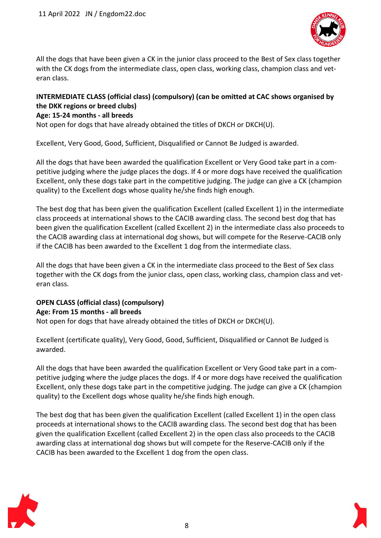

All the dogs that have been given a CK in the junior class proceed to the Best of Sex class together with the CK dogs from the intermediate class, open class, working class, champion class and veteran class.

## **INTERMEDIATE CLASS (official class) (compulsory) (can be omitted at CAC shows organised by the DKK regions or breed clubs)**

## **Age: 15-24 months - all breeds**

Not open for dogs that have already obtained the titles of DKCH or DKCH(U).

Excellent, Very Good, Good, Sufficient, Disqualified or Cannot Be Judged is awarded.

All the dogs that have been awarded the qualification Excellent or Very Good take part in a competitive judging where the judge places the dogs. If 4 or more dogs have received the qualification Excellent, only these dogs take part in the competitive judging. The judge can give a CK (champion quality) to the Excellent dogs whose quality he/she finds high enough.

The best dog that has been given the qualification Excellent (called Excellent 1) in the intermediate class proceeds at international shows to the CACIB awarding class. The second best dog that has been given the qualification Excellent (called Excellent 2) in the intermediate class also proceeds to the CACIB awarding class at international dog shows, but will compete for the Reserve-CACIB only if the CACIB has been awarded to the Excellent 1 dog from the intermediate class.

All the dogs that have been given a CK in the intermediate class proceed to the Best of Sex class together with the CK dogs from the junior class, open class, working class, champion class and veteran class.

#### **OPEN CLASS (official class) (compulsory) Age: From 15 months - all breeds**

Not open for dogs that have already obtained the titles of DKCH or DKCH(U).

Excellent (certificate quality), Very Good, Good, Sufficient, Disqualified or Cannot Be Judged is awarded.

All the dogs that have been awarded the qualification Excellent or Very Good take part in a competitive judging where the judge places the dogs. If 4 or more dogs have received the qualification Excellent, only these dogs take part in the competitive judging. The judge can give a CK (champion quality) to the Excellent dogs whose quality he/she finds high enough.

The best dog that has been given the qualification Excellent (called Excellent 1) in the open class proceeds at international shows to the CACIB awarding class. The second best dog that has been given the qualification Excellent (called Excellent 2) in the open class also proceeds to the CACIB awarding class at international dog shows but will compete for the Reserve-CACIB only if the CACIB has been awarded to the Excellent 1 dog from the open class.



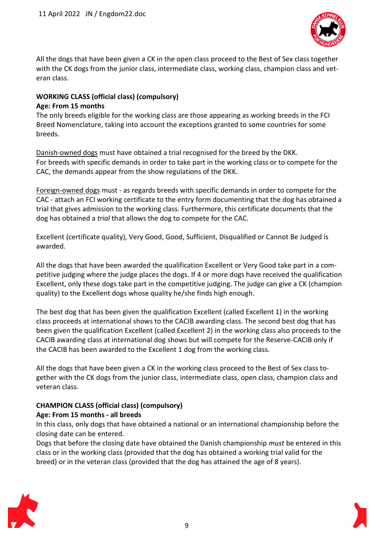

All the dogs that have been given a CK in the open class proceed to the Best of Sex class together with the CK dogs from the junior class, intermediate class, working class, champion class and veteran class.

### **WORKING CLASS (official class) (compulsory) Age: From 15 months**

The only breeds eligible for the working class are those appearing as working breeds in the FCI Breed Nomenclature, taking into account the exceptions granted to some countries for some breeds.

Danish-owned dogs must have obtained a trial recognised for the breed by the DKK. For breeds with specific demands in order to take part in the working class or to compete for the CAC, the demands appear from the show regulations of the DKK.

Foreign-owned dogs must - as regards breeds with specific demands in order to compete for the CAC - attach an FCI working certificate to the entry form documenting that the dog has obtained a trial that gives admission to the working class. Furthermore, this certificate documents that the dog has obtained a *trial* that allows the dog to compete for the CAC.

Excellent (certificate quality), Very Good, Good, Sufficient, Disqualified or Cannot Be Judged is awarded.

All the dogs that have been awarded the qualification Excellent or Very Good take part in a competitive judging where the judge places the dogs. If 4 or more dogs have received the qualification Excellent, only these dogs take part in the competitive judging. The judge can give a CK (champion quality) to the Excellent dogs whose quality he/she finds high enough.

The best dog that has been given the qualification Excellent (called Excellent 1) in the working class proceeds at international shows to the CACIB awarding class. The second best dog that has been given the qualification Excellent (called Excellent 2) in the working class also proceeds to the CACIB awarding class at international dog shows but will compete for the Reserve-CACIB only if the CACIB has been awarded to the Excellent 1 dog from the working class.

All the dogs that have been given a CK in the working class proceed to the Best of Sex class together with the CK dogs from the junior class, intermediate class, open class, champion class and veteran class.

## **CHAMPION CLASS (official class) (compulsory) Age: From 15 months - all breeds**

In this class, only dogs that have obtained a national or an international championship before the closing date can be entered.

Dogs that before the closing date have obtained the Danish championship *must* be entered in this class or in the working class (provided that the dog has obtained a working trial valid for the breed) or in the veteran class (provided that the dog has attained the age of 8 years).



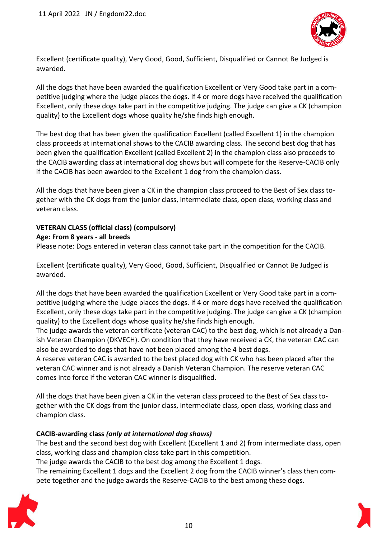

Excellent (certificate quality), Very Good, Good, Sufficient, Disqualified or Cannot Be Judged is awarded.

All the dogs that have been awarded the qualification Excellent or Very Good take part in a competitive judging where the judge places the dogs. If 4 or more dogs have received the qualification Excellent, only these dogs take part in the competitive judging. The judge can give a CK (champion quality) to the Excellent dogs whose quality he/she finds high enough.

The best dog that has been given the qualification Excellent (called Excellent 1) in the champion class proceeds at international shows to the CACIB awarding class. The second best dog that has been given the qualification Excellent (called Excellent 2) in the champion class also proceeds to the CACIB awarding class at international dog shows but will compete for the Reserve-CACIB only if the CACIB has been awarded to the Excellent 1 dog from the champion class.

All the dogs that have been given a CK in the champion class proceed to the Best of Sex class together with the CK dogs from the junior class, intermediate class, open class, working class and veteran class.

## **VETERAN CLASS (official class) (compulsory)**

### **Age: From 8 years - all breeds**

Please note: Dogs entered in veteran class cannot take part in the competition for the CACIB.

Excellent (certificate quality), Very Good, Good, Sufficient, Disqualified or Cannot Be Judged is awarded.

All the dogs that have been awarded the qualification Excellent or Very Good take part in a competitive judging where the judge places the dogs. If 4 or more dogs have received the qualification Excellent, only these dogs take part in the competitive judging. The judge can give a CK (champion quality) to the Excellent dogs whose quality he/she finds high enough.

The judge awards the veteran certificate (veteran CAC) to the best dog, which is not already a Danish Veteran Champion (DKVECH). On condition that they have received a CK, the veteran CAC can also be awarded to dogs that have not been placed among the 4 best dogs.

A reserve veteran CAC is awarded to the best placed dog with CK who has been placed after the veteran CAC winner and is not already a Danish Veteran Champion. The reserve veteran CAC comes into force if the veteran CAC winner is disqualified.

All the dogs that have been given a CK in the veteran class proceed to the Best of Sex class together with the CK dogs from the junior class, intermediate class, open class, working class and champion class.

## **CACIB-awarding class** *(only at international dog shows)*

The best and the second best dog with Excellent (Excellent 1 and 2) from intermediate class, open class, working class and champion class take part in this competition.

The judge awards the CACIB to the best dog among the Excellent 1 dogs.

The remaining Excellent 1 dogs and the Excellent 2 dog from the CACIB winner's class then compete together and the judge awards the Reserve-CACIB to the best among these dogs.

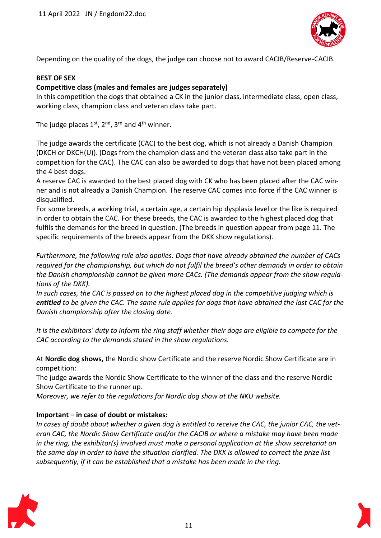

Depending on the quality of the dogs, the judge can choose not to award CACIB/Reserve-CACIB.

## **BEST OF SEX**

## **Competitive class (males and females are judges separately)**

In this competition the dogs that obtained a CK in the junior class, intermediate class, open class, working class, champion class and veteran class take part.

The judge places  $1^{st}$ ,  $2^{nd}$ ,  $3^{rd}$  and  $4^{th}$  winner.

The judge awards the certificate (CAC) to the best dog, which is not already a Danish Champion (DKCH or DKCH(U)). (Dogs from the champion class and the veteran class also take part in the competition for the CAC). The CAC can also be awarded to dogs that have not been placed among the 4 best dogs.

A reserve CAC is awarded to the best placed dog with CK who has been placed after the CAC winner and is not already a Danish Champion. The reserve CAC comes into force if the CAC winner is disqualified.

For some breeds, a working trial, a certain age, a certain hip dysplasia level or the like is required in order to obtain the CAC. For these breeds, the CAC is awarded to the highest placed dog that fulfils the demands for the breed in question. (The breeds in question appear from page 11. The specific requirements of the breeds appear from the DKK show regulations).

*Furthermore, the following rule also applies: Dogs that have already obtained the number of CACs required for the championship, but which do not fulfil the breed's other demands in order to obtain the Danish championship cannot be given more CACs. (The demands appear from the show regulations of the DKK).*

*In such cases, the CAC is passed on to the highest placed dog in the competitive judging which is entitled to be given the CAC. The same rule applies for dogs that have obtained the last CAC for the Danish championship after the closing date.* 

*It is the exhibitors' duty to inform the ring staff whether their dogs are eligible to compete for the CAC according to the demands stated in the show regulations.*

At **Nordic dog shows,** the Nordic show Certificate and the reserve Nordic Show Certificate are in competition:

The judge awards the Nordic Show Certificate to the winner of the class and the reserve Nordic Show Certificate to the runner up.

*Moreover, we refer to the regulations for Nordic dog show at the NKU website.*

## **Important – in case of doubt or mistakes:**

*In cases of doubt about whether a given dog is entitled to receive the CAC, the junior CAC, the veteran CAC, the Nordic Show Certificate and/or the CACIB or where a mistake may have been made in the ring, the exhibitor(s) involved must make a personal application at the show secretariat on the same day in order to have the situation clarified. The DKK is allowed to correct the prize list subsequently, if it can be established that a mistake has been made in the ring.*

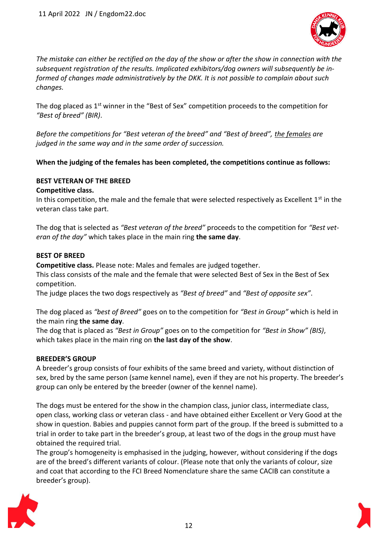

*The mistake can either be rectified on the day of the show or after the show in connection with the subsequent registration of the results. Implicated exhibitors/dog owners will subsequently be informed of changes made administratively by the DKK. It is not possible to complain about such changes.*

The dog placed as  $1<sup>st</sup>$  winner in the "Best of Sex" competition proceeds to the competition for *"Best of breed" (BIR)*.

*Before the competitions for "Best veteran of the breed" and "Best of breed", the females are judged in the same way and in the same order of succession.*

## **When the judging of the females has been completed, the competitions continue as follows:**

### **BEST VETERAN OF THE BREED**

### **Competitive class.**

In this competition, the male and the female that were selected respectively as Excellent  $1<sup>st</sup>$  in the veteran class take part.

The dog that is selected as *"Best veteran of the breed"* proceeds to the competition for *"Best veteran of the day"* which takes place in the main ring **the same day**.

### **BEST OF BREED**

**Competitive class.** Please note: Males and females are judged together.

This class consists of the male and the female that were selected Best of Sex in the Best of Sex competition.

The judge places the two dogs respectively as *"Best of breed"* and *"Best of opposite sex"*.

The dog placed as *"best of Breed"* goes on to the competition for *"Best in Group"* which is held in the main ring **the same day**.

The dog that is placed as *"Best in Group"* goes on to the competition for *"Best in Show" (BIS)*, which takes place in the main ring on **the last day of the show**.

## **BREEDER'S GROUP**

A breeder's group consists of four exhibits of the same breed and variety, without distinction of sex, bred by the same person (same kennel name), even if they are not his property. The breeder's group can only be entered by the breeder (owner of the kennel name).

The dogs must be entered for the show in the champion class, junior class, intermediate class, open class, working class or veteran class - and have obtained either Excellent or Very Good at the show in question. Babies and puppies cannot form part of the group. If the breed is submitted to a trial in order to take part in the breeder's group, at least two of the dogs in the group must have obtained the required trial.

The group's homogeneity is emphasised in the judging, however, without considering if the dogs are of the breed's different variants of colour. (Please note that only the variants of colour, size and coat that according to the FCI Breed Nomenclature share the same CACIB can constitute a breeder's group).



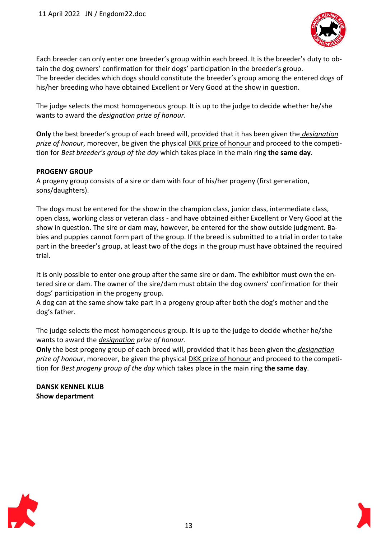

Each breeder can only enter one breeder's group within each breed. It is the breeder's duty to obtain the dog owners' confirmation for their dogs' participation in the breeder's group. The breeder decides which dogs should constitute the breeder's group among the entered dogs of his/her breeding who have obtained Excellent or Very Good at the show in question.

The judge selects the most homogeneous group. It is up to the judge to decide whether he/she wants to award the *designation prize of honour*.

**Only** the best breeder's group of each breed will, provided that it has been given the *designation prize of honour*, moreover, be given the physical DKK prize of honour and proceed to the competition for *Best breeder's group of the day* which takes place in the main ring **the same day**.

### **PROGENY GROUP**

A progeny group consists of a sire or dam with four of his/her progeny (first generation, sons/daughters).

The dogs must be entered for the show in the champion class, junior class, intermediate class, open class, working class or veteran class - and have obtained either Excellent or Very Good at the show in question. The sire or dam may, however, be entered for the show outside judgment. Babies and puppies cannot form part of the group. If the breed is submitted to a trial in order to take part in the breeder's group, at least two of the dogs in the group must have obtained the required trial.

It is only possible to enter one group after the same sire or dam. The exhibitor must own the entered sire or dam. The owner of the sire/dam must obtain the dog owners' confirmation for their dogs' participation in the progeny group.

A dog can at the same show take part in a progeny group after both the dog's mother and the dog's father.

The judge selects the most homogeneous group. It is up to the judge to decide whether he/she wants to award the *designation prize of honour*.

**Only** the best progeny group of each breed will, provided that it has been given the *designation prize of honour*, moreover, be given the physical DKK prize of honour and proceed to the competition for *Best progeny group of the day* which takes place in the main ring **the same day**.

**DANSK KENNEL KLUB Show department**



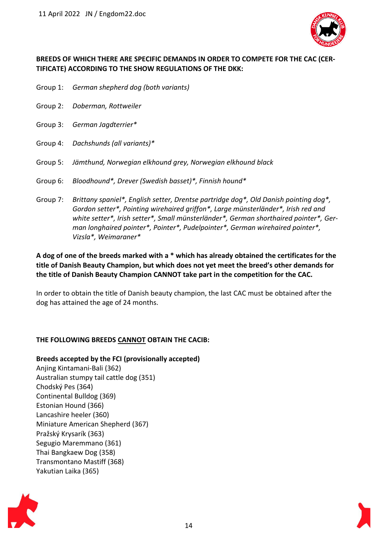

## **BREEDS OF WHICH THERE ARE SPECIFIC DEMANDS IN ORDER TO COMPETE FOR THE CAC (CER-TIFICATE) ACCORDING TO THE SHOW REGULATIONS OF THE DKK:**

- Group 1: *German shepherd dog (both variants)*
- Group 2: *Doberman, Rottweiler*
- Group 3: *German Jagdterrier\**
- Group 4: *Dachshunds (all variants)\**
- Group 5: *Jämthund, Norwegian elkhound grey, Norwegian elkhound black*
- Group 6: *Bloodhound\*, Drever (Swedish basset)\*, Finnish hound\**
- Group 7: *Brittany spaniel\*, English setter, Drentse partridge dog\*, Old Danish pointing dog\*, Gordon setter\*, Pointing wirehaired griffon\*, Large münsterländer\*, Irish red and white setter\*, Irish setter\*, Small münsterländer\*, German shorthaired pointer\*, German longhaired pointer\*, Pointer\*, Pudelpointer\*, German wirehaired pointer\*, Vizsla\*, Weimaraner\**

**A dog of one of the breeds marked with a \* which has already obtained the certificates for the title of Danish Beauty Champion, but which does not yet meet the breed's other demands for the title of Danish Beauty Champion CANNOT take part in the competition for the CAC.**

In order to obtain the title of Danish beauty champion, the last CAC must be obtained after the dog has attained the age of 24 months.

## **THE FOLLOWING BREEDS CANNOT OBTAIN THE CACIB:**

**Breeds accepted by the FCI (provisionally accepted)** Anjing Kintamani-Bali (362) Australian stumpy tail cattle dog (351) Chodský Pes (364) Continental Bulldog (369) Estonian Hound (366) Lancashire heeler (360) Miniature American Shepherd (367) Pražský Krysarík (363) Segugio Maremmano (361) Thai Bangkaew Dog (358) Transmontano Mastiff (368) Yakutian Laika (365)